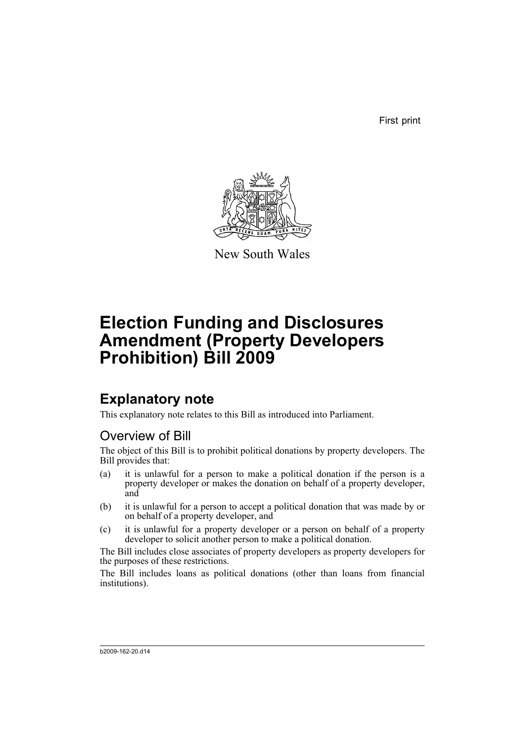First print



New South Wales

# **Election Funding and Disclosures Amendment (Property Developers Prohibition) Bill 2009**

## **Explanatory note**

This explanatory note relates to this Bill as introduced into Parliament.

### Overview of Bill

The object of this Bill is to prohibit political donations by property developers. The Bill provides that:

- (a) it is unlawful for a person to make a political donation if the person is a property developer or makes the donation on behalf of a property developer, and
- (b) it is unlawful for a person to accept a political donation that was made by or on behalf of a property developer, and
- (c) it is unlawful for a property developer or a person on behalf of a property developer to solicit another person to make a political donation.

The Bill includes close associates of property developers as property developers for the purposes of these restrictions.

The Bill includes loans as political donations (other than loans from financial institutions).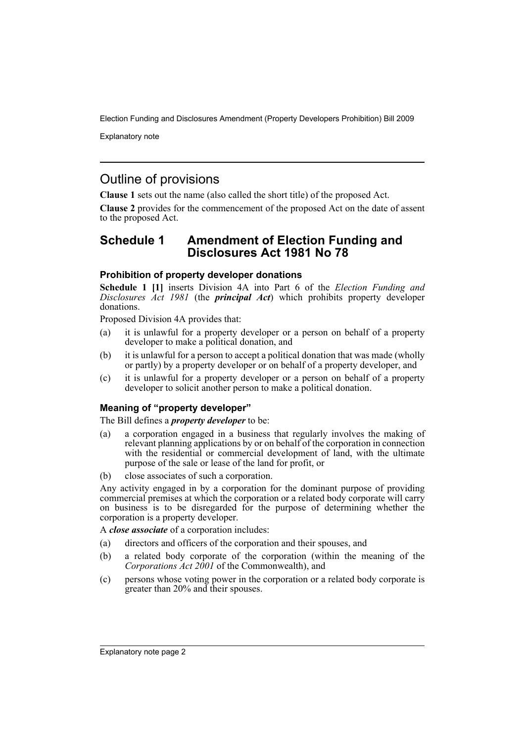Explanatory note

### Outline of provisions

**Clause 1** sets out the name (also called the short title) of the proposed Act.

**Clause 2** provides for the commencement of the proposed Act on the date of assent to the proposed Act.

### **Schedule 1 Amendment of Election Funding and Disclosures Act 1981 No 78**

#### **Prohibition of property developer donations**

**Schedule 1 [1]** inserts Division 4A into Part 6 of the *Election Funding and Disclosures Act 1981* (the *principal Act*) which prohibits property developer donations.

Proposed Division 4A provides that:

- (a) it is unlawful for a property developer or a person on behalf of a property developer to make a political donation, and
- (b) it is unlawful for a person to accept a political donation that was made (wholly or partly) by a property developer or on behalf of a property developer, and
- (c) it is unlawful for a property developer or a person on behalf of a property developer to solicit another person to make a political donation.

#### **Meaning of "property developer"**

The Bill defines a *property developer* to be:

- (a) a corporation engaged in a business that regularly involves the making of relevant planning applications by or on behalf of the corporation in connection with the residential or commercial development of land, with the ultimate purpose of the sale or lease of the land for profit, or
- (b) close associates of such a corporation.

Any activity engaged in by a corporation for the dominant purpose of providing commercial premises at which the corporation or a related body corporate will carry on business is to be disregarded for the purpose of determining whether the corporation is a property developer.

A *close associate* of a corporation includes:

- (a) directors and officers of the corporation and their spouses, and
- (b) a related body corporate of the corporation (within the meaning of the *Corporations Act 2001* of the Commonwealth), and
- (c) persons whose voting power in the corporation or a related body corporate is greater than 20% and their spouses.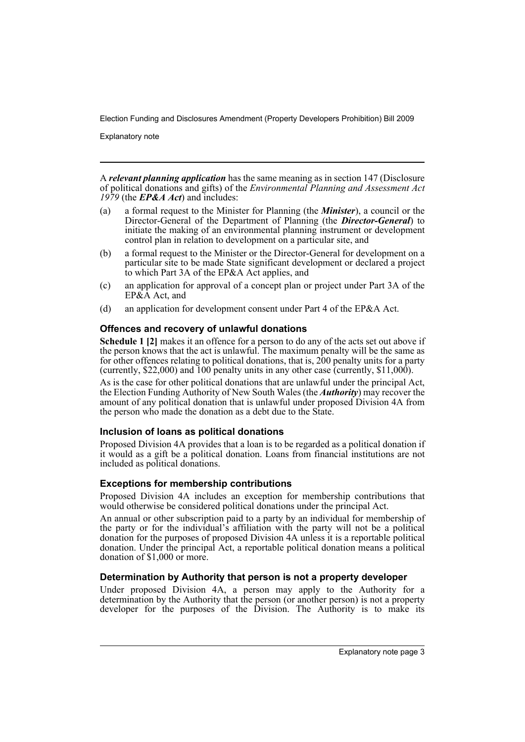Explanatory note

A *relevant planning application* has the same meaning as in section 147 (Disclosure of political donations and gifts) of the *Environmental Planning and Assessment Act 1979* (the *EP&A Act*) and includes:

- (a) a formal request to the Minister for Planning (the *Minister*), a council or the Director-General of the Department of Planning (the *Director-General*) to initiate the making of an environmental planning instrument or development control plan in relation to development on a particular site, and
- (b) a formal request to the Minister or the Director-General for development on a particular site to be made State significant development or declared a project to which Part 3A of the EP&A Act applies, and
- (c) an application for approval of a concept plan or project under Part 3A of the EP&A Act, and
- (d) an application for development consent under Part 4 of the EP&A Act.

#### **Offences and recovery of unlawful donations**

**Schedule 1 [2]** makes it an offence for a person to do any of the acts set out above if the person knows that the act is unlawful. The maximum penalty will be the same as for other offences relating to political donations, that is, 200 penalty units for a party (currently, \$22,000) and  $100$  penalty units in any other case (currently, \$11,000).

As is the case for other political donations that are unlawful under the principal Act, the Election Funding Authority of New South Wales (the *Authority*) may recover the amount of any political donation that is unlawful under proposed Division 4A from the person who made the donation as a debt due to the State.

#### **Inclusion of loans as political donations**

Proposed Division 4A provides that a loan is to be regarded as a political donation if it would as a gift be a political donation. Loans from financial institutions are not included as political donations.

#### **Exceptions for membership contributions**

Proposed Division 4A includes an exception for membership contributions that would otherwise be considered political donations under the principal Act.

An annual or other subscription paid to a party by an individual for membership of the party or for the individual's affiliation with the party will not be a political donation for the purposes of proposed Division 4A unless it is a reportable political donation. Under the principal Act, a reportable political donation means a political donation of \$1,000 or more.

#### **Determination by Authority that person is not a property developer**

Under proposed Division 4A, a person may apply to the Authority for a determination by the Authority that the person (or another person) is not a property developer for the purposes of the Division. The Authority is to make its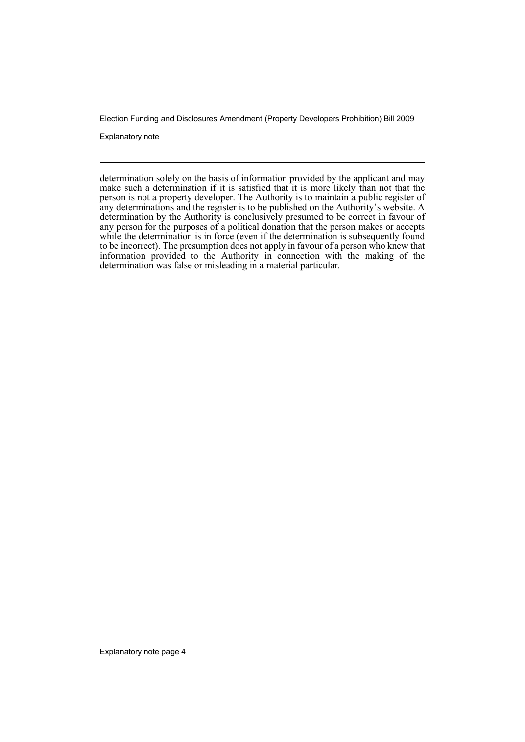Explanatory note

determination solely on the basis of information provided by the applicant and may make such a determination if it is satisfied that it is more likely than not that the person is not a property developer. The Authority is to maintain a public register of any determinations and the register is to be published on the Authority's website. A determination by the Authority is conclusively presumed to be correct in favour of any person for the purposes of a political donation that the person makes or accepts while the determination is in force (even if the determination is subsequently found to be incorrect). The presumption does not apply in favour of a person who knew that information provided to the Authority in connection with the making of the determination was false or misleading in a material particular.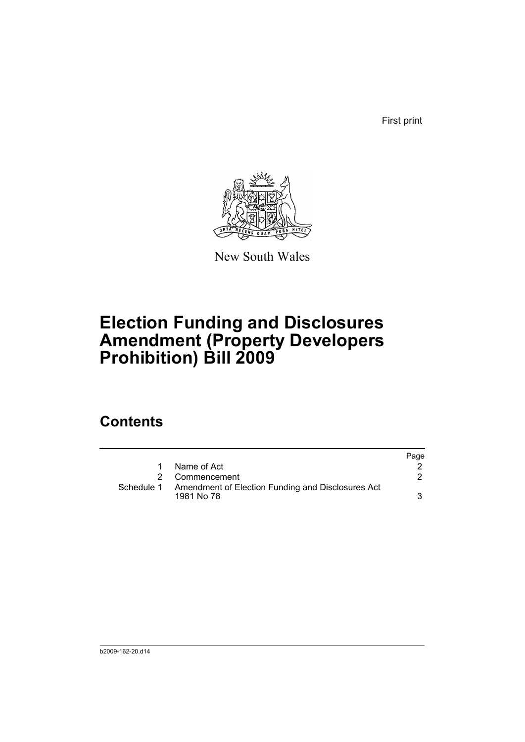First print



New South Wales

# **Election Funding and Disclosures Amendment (Property Developers Prohibition) Bill 2009**

## **Contents**

|            |                                                                 | Page |
|------------|-----------------------------------------------------------------|------|
| 1          | Name of Act                                                     |      |
|            | Commencement                                                    |      |
| Schedule 1 | Amendment of Election Funding and Disclosures Act<br>1981 No 78 | 3    |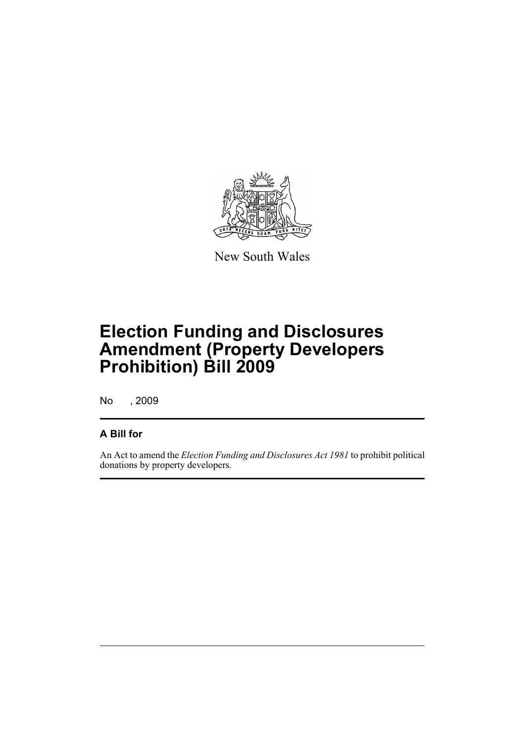

New South Wales

# **Election Funding and Disclosures Amendment (Property Developers Prohibition) Bill 2009**

No , 2009

### **A Bill for**

An Act to amend the *Election Funding and Disclosures Act 1981* to prohibit political donations by property developers.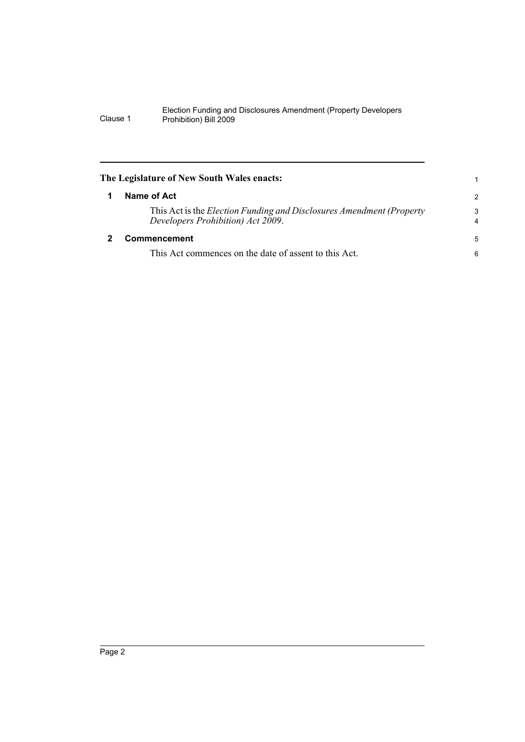<span id="page-7-1"></span><span id="page-7-0"></span>

| The Legislature of New South Wales enacts:<br>1 |                                                                                                                    |               |  |  |
|-------------------------------------------------|--------------------------------------------------------------------------------------------------------------------|---------------|--|--|
|                                                 | Name of Act                                                                                                        | $\mathcal{P}$ |  |  |
|                                                 | This Act is the <i>Election Funding and Disclosures Amendment (Property</i> )<br>Developers Prohibition) Act 2009. | 3<br>4        |  |  |
|                                                 | Commencement                                                                                                       | 5             |  |  |
|                                                 | This Act commences on the date of assent to this Act.                                                              | 6             |  |  |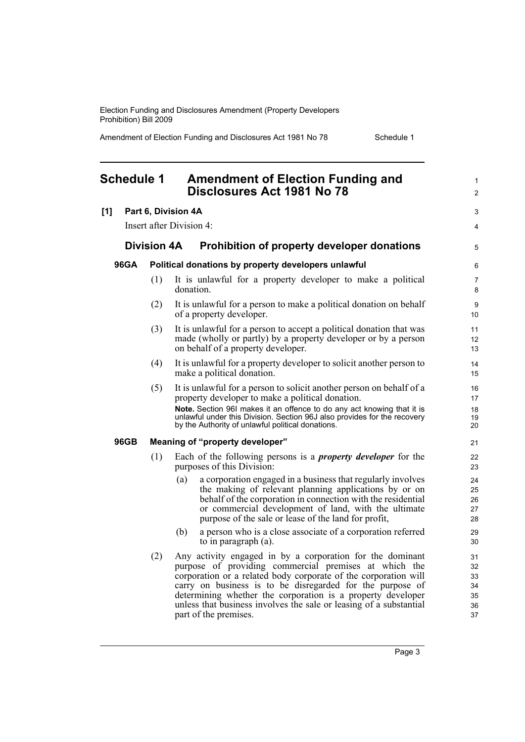Amendment of Election Funding and Disclosures Act 1981 No 78 Schedule 1

<span id="page-8-0"></span>

| <b>Schedule 1</b> |                    |     | <b>Amendment of Election Funding and</b><br>Disclosures Act 1981 No 78                                                                                                                                                                                                                                                                                                                                           | 1<br>$\overline{2}$                    |
|-------------------|--------------------|-----|------------------------------------------------------------------------------------------------------------------------------------------------------------------------------------------------------------------------------------------------------------------------------------------------------------------------------------------------------------------------------------------------------------------|----------------------------------------|
| [1]               |                    |     | Part 6, Division 4A                                                                                                                                                                                                                                                                                                                                                                                              | 3                                      |
|                   |                    |     | Insert after Division 4:                                                                                                                                                                                                                                                                                                                                                                                         | 4                                      |
|                   | <b>Division 4A</b> |     | Prohibition of property developer donations                                                                                                                                                                                                                                                                                                                                                                      | 5                                      |
| 96GA              |                    |     | Political donations by property developers unlawful                                                                                                                                                                                                                                                                                                                                                              | 6                                      |
|                   |                    | (1) | It is unlawful for a property developer to make a political<br>donation.                                                                                                                                                                                                                                                                                                                                         | 7<br>8                                 |
|                   |                    | (2) | It is unlawful for a person to make a political donation on behalf<br>of a property developer.                                                                                                                                                                                                                                                                                                                   | 9<br>10                                |
|                   |                    | (3) | It is unlawful for a person to accept a political donation that was<br>made (wholly or partly) by a property developer or by a person<br>on behalf of a property developer.                                                                                                                                                                                                                                      | 11<br>12<br>13                         |
|                   |                    | (4) | It is unlawful for a property developer to solicit another person to<br>make a political donation.                                                                                                                                                                                                                                                                                                               | 14<br>15                               |
|                   |                    | (5) | It is unlawful for a person to solicit another person on behalf of a<br>property developer to make a political donation.                                                                                                                                                                                                                                                                                         | 16<br>17                               |
|                   |                    |     | Note. Section 96I makes it an offence to do any act knowing that it is<br>unlawful under this Division. Section 96J also provides for the recovery<br>by the Authority of unlawful political donations.                                                                                                                                                                                                          | 18<br>19<br>20                         |
|                   | 96GB               |     | Meaning of "property developer"                                                                                                                                                                                                                                                                                                                                                                                  | 21                                     |
|                   |                    | (1) | Each of the following persons is a <i>property developer</i> for the<br>purposes of this Division:                                                                                                                                                                                                                                                                                                               | 22<br>23                               |
|                   |                    |     | a corporation engaged in a business that regularly involves<br>(a)<br>the making of relevant planning applications by or on<br>behalf of the corporation in connection with the residential<br>or commercial development of land, with the ultimate<br>purpose of the sale or lease of the land for profit,                                                                                                      | 24<br>25<br>26<br>27<br>28             |
|                   |                    |     | a person who is a close associate of a corporation referred<br>(b)<br>to in paragraph (a).                                                                                                                                                                                                                                                                                                                       | 29<br>30                               |
|                   |                    | (2) | Any activity engaged in by a corporation for the dominant<br>purpose of providing commercial premises at which the<br>corporation or a related body corporate of the corporation will<br>carry on business is to be disregarded for the purpose of<br>determining whether the corporation is a property developer<br>unless that business involves the sale or leasing of a substantial<br>part of the premises. | 31<br>32<br>33<br>34<br>35<br>36<br>37 |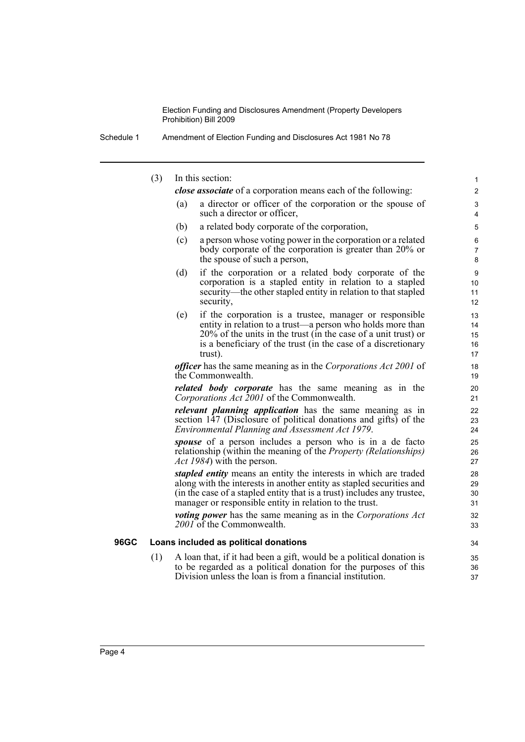| Amendment of Election Funding and Disclosures Act 1981 No 78<br>Schedule 1 |
|----------------------------------------------------------------------------|
|----------------------------------------------------------------------------|

(3) In this section:

*close associate* of a corporation means each of the following:

(a) a director or officer of the corporation or the spouse of such a director or officer,

- (b) a related body corporate of the corporation,
- (c) a person whose voting power in the corporation or a related body corporate of the corporation is greater than 20% or the spouse of such a person,
- (d) if the corporation or a related body corporate of the corporation is a stapled entity in relation to a stapled security—the other stapled entity in relation to that stapled security,
- (e) if the corporation is a trustee, manager or responsible entity in relation to a trust—a person who holds more than 20% of the units in the trust (in the case of a unit trust) or is a beneficiary of the trust (in the case of a discretionary trust).

*officer* has the same meaning as in the *Corporations Act 2001* of the Commonwealth.

*related body corporate* has the same meaning as in the *Corporations Act 2001* of the Commonwealth.

*relevant planning application* has the same meaning as in section 147 (Disclosure of political donations and gifts) of the *Environmental Planning and Assessment Act 1979*.

*spouse* of a person includes a person who is in a de facto relationship (within the meaning of the *Property (Relationships) Act 1984*) with the person.

*stapled entity* means an entity the interests in which are traded along with the interests in another entity as stapled securities and (in the case of a stapled entity that is a trust) includes any trustee, manager or responsible entity in relation to the trust.

*voting power* has the same meaning as in the *Corporations Act 2001* of the Commonwealth.

#### **96GC Loans included as political donations**

(1) A loan that, if it had been a gift, would be a political donation is to be regarded as a political donation for the purposes of this Division unless the loan is from a financial institution.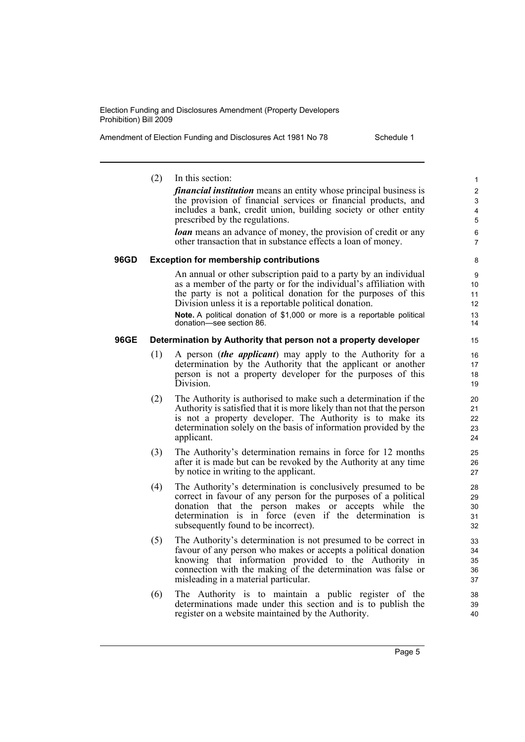Amendment of Election Funding and Disclosures Act 1981 No 78 Schedule 1

(2) In this section: *financial institution* means an entity whose principal business is the provision of financial services or financial products, and includes a bank, credit union, building society or other entity prescribed by the regulations. *loan* means an advance of money, the provision of credit or any other transaction that in substance effects a loan of money. **96GD Exception for membership contributions** An annual or other subscription paid to a party by an individual as a member of the party or for the individual's affiliation with the party is not a political donation for the purposes of this Division unless it is a reportable political donation. **Note.** A political donation of \$1,000 or more is a reportable political donation—see section 86. **96GE Determination by Authority that person not a property developer** (1) A person (*the applicant*) may apply to the Authority for a determination by the Authority that the applicant or another person is not a property developer for the purposes of this Division. (2) The Authority is authorised to make such a determination if the Authority is satisfied that it is more likely than not that the person is not a property developer. The Authority is to make its determination solely on the basis of information provided by the applicant. (3) The Authority's determination remains in force for 12 months after it is made but can be revoked by the Authority at any time by notice in writing to the applicant. (4) The Authority's determination is conclusively presumed to be correct in favour of any person for the purposes of a political donation that the person makes or accepts while the determination is in force (even if the determination is subsequently found to be incorrect). (5) The Authority's determination is not presumed to be correct in favour of any person who makes or accepts a political donation knowing that information provided to the Authority in connection with the making of the determination was false or misleading in a material particular. (6) The Authority is to maintain a public register of the determinations made under this section and is to publish the register on a website maintained by the Authority. 1  $\overline{2}$ 3 4 5 6 7 8 9 10 11 12 13 14 15 16 17 18 19 20 21 22 23 24 25 26 27 28 29 30 31 32 33 34 35 36 37 38 39 40